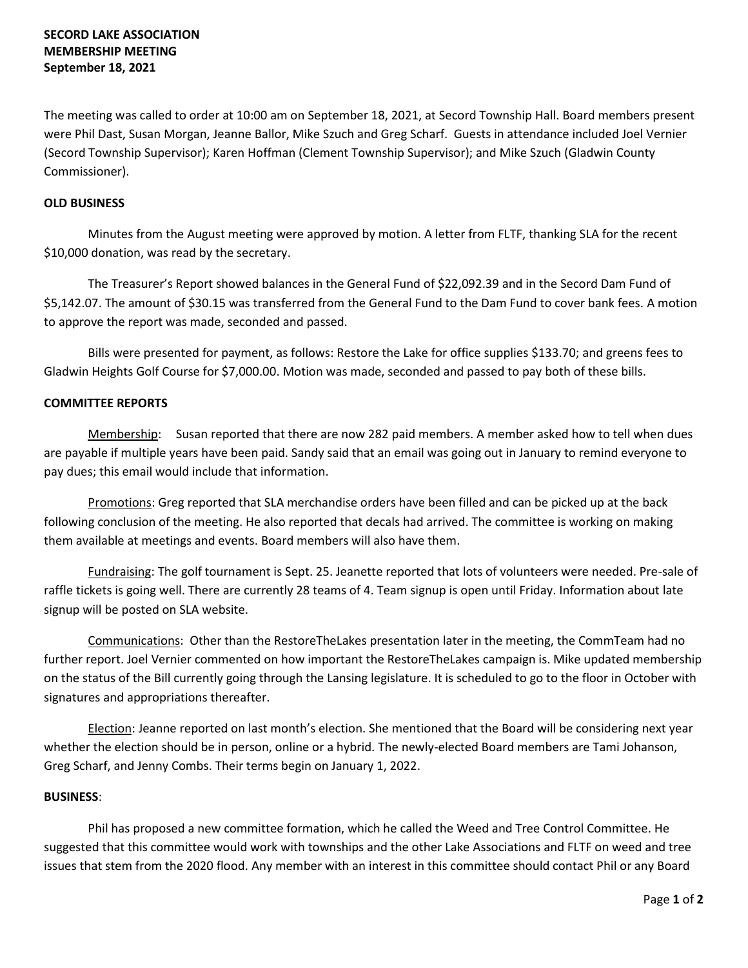# **SECORD LAKE ASSOCIATION MEMBERSHIP MEETING September 18, 2021**

The meeting was called to order at 10:00 am on September 18, 2021, at Secord Township Hall. Board members present were Phil Dast, Susan Morgan, Jeanne Ballor, Mike Szuch and Greg Scharf. Guests in attendance included Joel Vernier (Secord Township Supervisor); Karen Hoffman (Clement Township Supervisor); and Mike Szuch (Gladwin County Commissioner).

### **OLD BUSINESS**

Minutes from the August meeting were approved by motion. A letter from FLTF, thanking SLA for the recent \$10,000 donation, was read by the secretary.

The Treasurer's Report showed balances in the General Fund of \$22,092.39 and in the Secord Dam Fund of \$5,142.07. The amount of \$30.15 was transferred from the General Fund to the Dam Fund to cover bank fees. A motion to approve the report was made, seconded and passed.

Bills were presented for payment, as follows: Restore the Lake for office supplies \$133.70; and greens fees to Gladwin Heights Golf Course for \$7,000.00. Motion was made, seconded and passed to pay both of these bills.

# **COMMITTEE REPORTS**

Membership: Susan reported that there are now 282 paid members. A member asked how to tell when dues are payable if multiple years have been paid. Sandy said that an email was going out in January to remind everyone to pay dues; this email would include that information.

Promotions: Greg reported that SLA merchandise orders have been filled and can be picked up at the back following conclusion of the meeting. He also reported that decals had arrived. The committee is working on making them available at meetings and events. Board members will also have them.

Fundraising: The golf tournament is Sept. 25. Jeanette reported that lots of volunteers were needed. Pre-sale of raffle tickets is going well. There are currently 28 teams of 4. Team signup is open until Friday. Information about late signup will be posted on SLA website.

Communications: Other than the RestoreTheLakes presentation later in the meeting, the CommTeam had no further report. Joel Vernier commented on how important the RestoreTheLakes campaign is. Mike updated membership on the status of the Bill currently going through the Lansing legislature. It is scheduled to go to the floor in October with signatures and appropriations thereafter.

Election: Jeanne reported on last month's election. She mentioned that the Board will be considering next year whether the election should be in person, online or a hybrid. The newly-elected Board members are Tami Johanson, Greg Scharf, and Jenny Combs. Their terms begin on January 1, 2022.

#### **BUSINESS**:

Phil has proposed a new committee formation, which he called the Weed and Tree Control Committee. He suggested that this committee would work with townships and the other Lake Associations and FLTF on weed and tree issues that stem from the 2020 flood. Any member with an interest in this committee should contact Phil or any Board